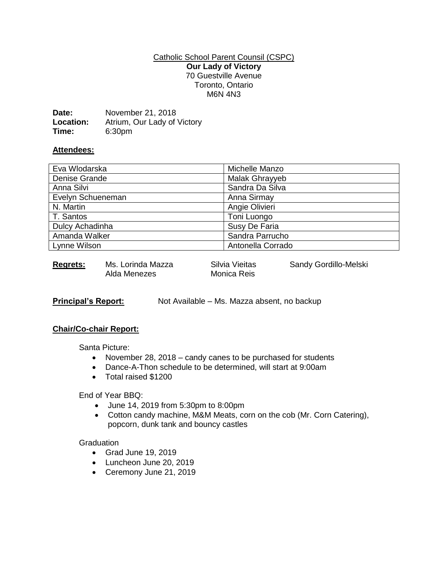### Catholic School Parent Counsil (CSPC) **Our Lady of Victory** 70 Guestville Avenue Toronto, Ontario M6N 4N3

| Date:     | November 21, 2018           |
|-----------|-----------------------------|
| Location: | Atrium, Our Lady of Victory |
| Time:     | 6:30 <sub>pm</sub>          |

## **Attendees:**

| Eva Wlodarska     | Michelle Manzo    |
|-------------------|-------------------|
| Denise Grande     | Malak Ghrayyeb    |
| Anna Silvi        | Sandra Da Silva   |
| Evelyn Schueneman | Anna Sirmay       |
| N. Martin         | Angie Olivieri    |
| T. Santos         | Toni Luongo       |
| Dulcy Achadinha   | Susy De Faria     |
| Amanda Walker     | Sandra Parrucho   |
| Lynne Wilson      | Antonella Corrado |
|                   |                   |

**Regrets:** Ms. Lorinda Mazza Silvia Vieitas Sandy Gordillo-Melski<br>Alda Menezes Monica Reis Alda Menezes

**Principal's Report:** Not Available – Ms. Mazza absent, no backup

## **Chair/Co-chair Report:**

Santa Picture:

- November 28, 2018 candy canes to be purchased for students
- Dance-A-Thon schedule to be determined, will start at 9:00am
- Total raised \$1200

## End of Year BBQ:

- June 14, 2019 from 5:30pm to 8:00pm
- Cotton candy machine, M&M Meats, corn on the cob (Mr. Corn Catering), popcorn, dunk tank and bouncy castles

#### **Graduation**

- Grad June 19, 2019
- Luncheon June 20, 2019
- Ceremony June 21, 2019